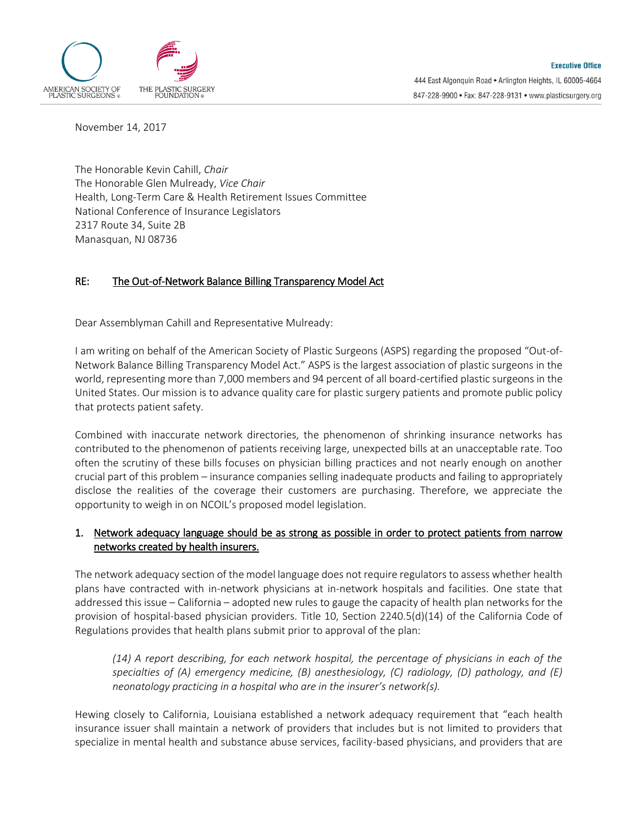

November 14, 2017

The Honorable Kevin Cahill, *Chair* The Honorable Glen Mulready, *Vice Chair* Health, Long-Term Care & Health Retirement Issues Committee National Conference of Insurance Legislators 2317 Route 34, Suite 2B Manasquan, NJ 08736

#### RE: The Out-of-Network Balance Billing Transparency Model Act

Dear Assemblyman Cahill and Representative Mulready:

I am writing on behalf of the American Society of Plastic Surgeons (ASPS) regarding the proposed "Out-of-Network Balance Billing Transparency Model Act." ASPS is the largest association of plastic surgeons in the world, representing more than 7,000 members and 94 percent of all board-certified plastic surgeons in the United States. Our mission is to advance quality care for plastic surgery patients and promote public policy that protects patient safety.

Combined with inaccurate network directories, the phenomenon of shrinking insurance networks has contributed to the phenomenon of patients receiving large, unexpected bills at an unacceptable rate. Too often the scrutiny of these bills focuses on physician billing practices and not nearly enough on another crucial part of this problem – insurance companies selling inadequate products and failing to appropriately disclose the realities of the coverage their customers are purchasing. Therefore, we appreciate the opportunity to weigh in on NCOIL's proposed model legislation.

#### 1. Network adequacy language should be as strong as possible in order to protect patients from narrow networks created by health insurers.

The network adequacy section of the model language does not require regulators to assess whether health plans have contracted with in-network physicians at in-network hospitals and facilities. One state that addressed this issue – California – adopted new rules to gauge the capacity of health plan networks for the provision of hospital-based physician providers. Title 10, Section 2240.5(d)(14) of the California Code of Regulations provides that health plans submit prior to approval of the plan:

*(14) A report describing, for each network hospital, the percentage of physicians in each of the specialties of (A) emergency medicine, (B) anesthesiology, (C) radiology, (D) pathology, and (E) neonatology practicing in a hospital who are in the insurer's network(s).*

Hewing closely to California, Louisiana established a network adequacy requirement that "each health insurance issuer shall maintain a network of providers that includes but is not limited to providers that specialize in mental health and substance abuse services, facility-based physicians, and providers that are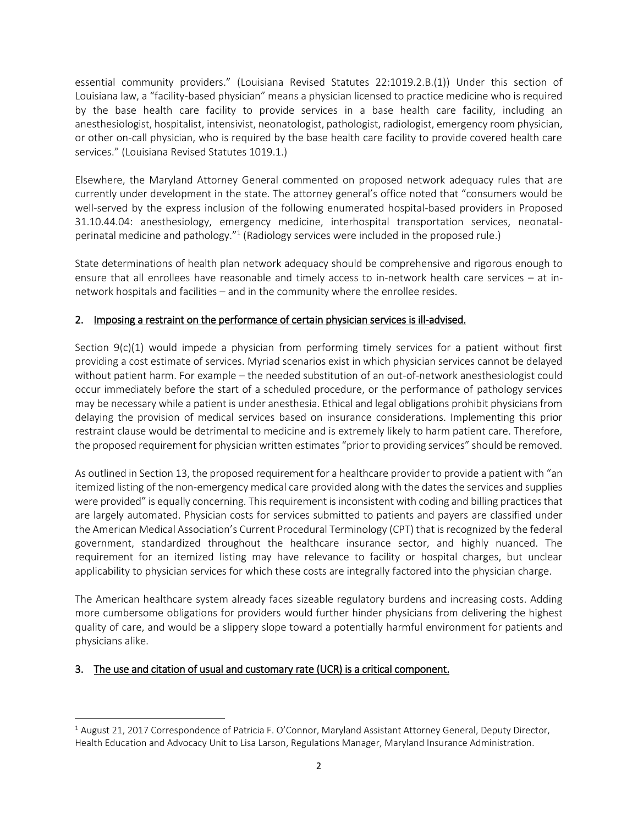essential community providers." (Louisiana Revised Statutes 22:1019.2.B.(1)) Under this section of Louisiana law, a "facility-based physician" means a physician licensed to practice medicine who is required by the base health care facility to provide services in a base health care facility, including an anesthesiologist, hospitalist, intensivist, neonatologist, pathologist, radiologist, emergency room physician, or other on-call physician, who is required by the base health care facility to provide covered health care services." (Louisiana Revised Statutes 1019.1.)

Elsewhere, the Maryland Attorney General commented on proposed network adequacy rules that are currently under development in the state. The attorney general's office noted that "consumers would be well-served by the express inclusion of the following enumerated hospital-based providers in Proposed 31.10.44.04: anesthesiology, emergency medicine, interhospital transportation services, neonatalperinatal medicine and pathology."<sup>1</sup> (Radiology services were included in the proposed rule.)

State determinations of health plan network adequacy should be comprehensive and rigorous enough to ensure that all enrollees have reasonable and timely access to in-network health care services – at innetwork hospitals and facilities – and in the community where the enrollee resides.

# 2. Imposing a restraint on the performance of certain physician services is ill-advised.

Section  $9(c)(1)$  would impede a physician from performing timely services for a patient without first providing a cost estimate of services. Myriad scenarios exist in which physician services cannot be delayed without patient harm. For example – the needed substitution of an out-of-network anesthesiologist could occur immediately before the start of a scheduled procedure, or the performance of pathology services may be necessary while a patient is under anesthesia. Ethical and legal obligations prohibit physicians from delaying the provision of medical services based on insurance considerations. Implementing this prior restraint clause would be detrimental to medicine and is extremely likely to harm patient care. Therefore, the proposed requirement for physician written estimates "prior to providing services" should be removed.

As outlined in Section 13, the proposed requirement for a healthcare provider to provide a patient with "an itemized listing of the non-emergency medical care provided along with the dates the services and supplies were provided" is equally concerning. This requirement is inconsistent with coding and billing practices that are largely automated. Physician costs for services submitted to patients and payers are classified under the American Medical Association's Current Procedural Terminology (CPT) that is recognized by the federal government, standardized throughout the healthcare insurance sector, and highly nuanced. The requirement for an itemized listing may have relevance to facility or hospital charges, but unclear applicability to physician services for which these costs are integrally factored into the physician charge.

The American healthcare system already faces sizeable regulatory burdens and increasing costs. Adding more cumbersome obligations for providers would further hinder physicians from delivering the highest quality of care, and would be a slippery slope toward a potentially harmful environment for patients and physicians alike.

### 3. The use and citation of usual and customary rate (UCR) is a critical component.

 $\overline{a}$ 

<sup>&</sup>lt;sup>1</sup> August 21, 2017 Correspondence of Patricia F. O'Connor, Maryland Assistant Attorney General, Deputy Director, Health Education and Advocacy Unit to Lisa Larson, Regulations Manager, Maryland Insurance Administration.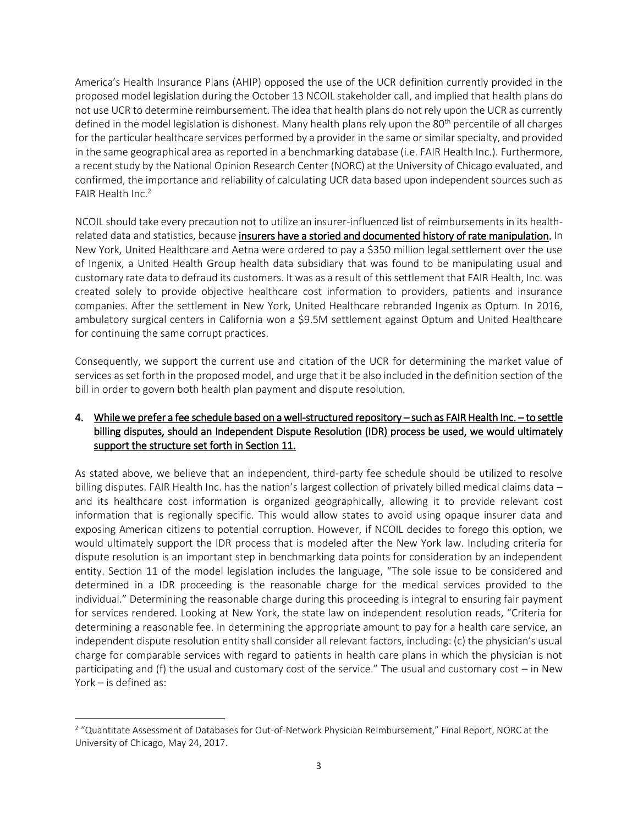America's Health Insurance Plans (AHIP) opposed the use of the UCR definition currently provided in the proposed model legislation during the October 13 NCOIL stakeholder call, and implied that health plans do not use UCR to determine reimbursement. The idea that health plans do not rely upon the UCR as currently defined in the model legislation is dishonest. Many health plans rely upon the 80<sup>th</sup> percentile of all charges for the particular healthcare services performed by a provider in the same or similar specialty, and provided in the same geographical area as reported in a benchmarking database (i.e. FAIR Health Inc.). Furthermore, a recent study by the National Opinion Research Center (NORC) at the University of Chicago evaluated, and confirmed, the importance and reliability of calculating UCR data based upon independent sources such as FAIR Health Inc.<sup>2</sup>

NCOIL should take every precaution not to utilize an insurer-influenced list of reimbursements in its healthrelated data and statistics, because insurers have a storied and documented history of rate manipulation. In New York, United Healthcare and Aetna were ordered to pay a \$350 million legal settlement over the use of Ingenix, a United Health Group health data subsidiary that was found to be manipulating usual and customary rate data to defraud its customers. It was as a result of this settlement that FAIR Health, Inc. was created solely to provide objective healthcare cost information to providers, patients and insurance companies. After the settlement in New York, United Healthcare rebranded Ingenix as Optum. In 2016, ambulatory surgical centers in California won a \$9.5M settlement against Optum and United Healthcare for continuing the same corrupt practices.

Consequently, we support the current use and citation of the UCR for determining the market value of services as set forth in the proposed model, and urge that it be also included in the definition section of the bill in order to govern both health plan payment and dispute resolution.

## 4. While we prefer a fee schedule based on a well-structured repository – such as FAIR Health Inc. – to settle billing disputes, should an Independent Dispute Resolution (IDR) process be used, we would ultimately support the structure set forth in Section 11.

As stated above, we believe that an independent, third-party fee schedule should be utilized to resolve billing disputes. FAIR Health Inc. has the nation's largest collection of privately billed medical claims data – and its healthcare cost information is organized geographically, allowing it to provide relevant cost information that is regionally specific. This would allow states to avoid using opaque insurer data and exposing American citizens to potential corruption. However, if NCOIL decides to forego this option, we would ultimately support the IDR process that is modeled after the New York law. Including criteria for dispute resolution is an important step in benchmarking data points for consideration by an independent entity. Section 11 of the model legislation includes the language, "The sole issue to be considered and determined in a IDR proceeding is the reasonable charge for the medical services provided to the individual." Determining the reasonable charge during this proceeding is integral to ensuring fair payment for services rendered. Looking at New York, the state law on independent resolution reads, "Criteria for determining a reasonable fee. In determining the appropriate amount to pay for a health care service, an independent dispute resolution entity shall consider all relevant factors, including: (c) the physician's usual charge for comparable services with regard to patients in health care plans in which the physician is not participating and (f) the usual and customary cost of the service." The usual and customary cost – in New York – is defined as:

 $\overline{a}$ 

<sup>&</sup>lt;sup>2</sup> "Quantitate Assessment of Databases for Out-of-Network Physician Reimbursement," Final Report, NORC at the University of Chicago, May 24, 2017.